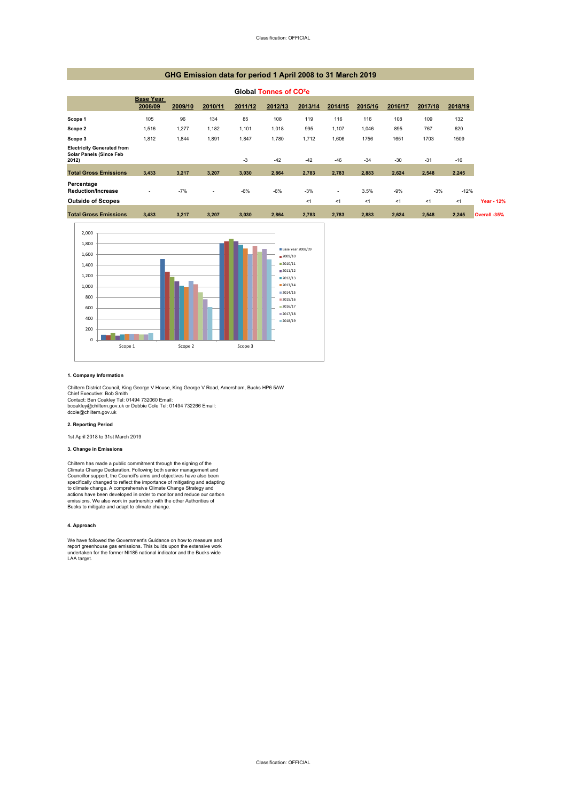#### Classification: OFFICIAL

#### **1. Company Information**

#### **2. Reporting Period**

1st April 2018 to 31st March 2019

Chiltern District Council, King George V House, King George V Road, Amersham, Bucks HP6 5AW Chief Executive: Bob Smith Contact: Ben Coakley Tel: 01494 732060 Email: bcoakley@chiltern.gov.uk or Debbie Cole Tel: 01494 732266 Email: dcole@chiltern.gov.uk

#### **3. Change in Emissions**

#### **4. Approach**

| Global Tonnes of CO <sup>2</sup> e                                           |                             |         |                          |         |         |         |         |         |         |         |         |
|------------------------------------------------------------------------------|-----------------------------|---------|--------------------------|---------|---------|---------|---------|---------|---------|---------|---------|
|                                                                              | <b>Base Year</b><br>2008/09 | 2009/10 | 2010/11                  | 2011/12 | 2012/13 | 2013/14 | 2014/15 | 2015/16 | 2016/17 | 2017/18 | 2018/19 |
| Scope 1                                                                      | 105                         | 96      | 134                      | 85      | 108     | 119     | 116     | 116     | 108     | 109     | 132     |
| Scope 2                                                                      | 1,516                       | 1,277   | 1,182                    | 1,101   | 1,018   | 995     | 1,107   | 1,046   | 895     | 767     | 620     |
| Scope 3                                                                      | 1,812                       | 1,844   | 1,891                    | 1,847   | 1,780   | 1,712   | 1,606   | 1756    | 1651    | 1703    | 1509    |
| <b>Electricity Generated from</b><br><b>Solar Panels (Since Feb</b><br>2012) |                             |         |                          | $-3$    | $-42$   | $-42$   | $-46$   | $-34$   | $-30$   | $-31$   | $-16$   |
| <b>Total Gross Emissions</b>                                                 | 3,433                       | 3,217   | 3,207                    | 3,030   | 2,864   | 2,783   | 2,783   | 2,883   | 2,624   | 2,548   | 2,245   |
| Percentage<br><b>Reduction/Increase</b>                                      |                             | $-7%$   | $\overline{\phantom{a}}$ | $-6%$   | $-6%$   | $-3%$   | $\sim$  | 3.5%    | $-9%$   | $-3%$   | $-12%$  |
| <b>Outside of Scopes</b>                                                     |                             |         |                          |         |         | $<$ 1   | $<$ 1   | <1      | $<$ 1   | $<$ 1   | $<$ 1   |
| <b>Total Gross Emissions</b>                                                 | 3,433                       | 3,217   | 3,207                    | 3,030   | 2,864   | 2,783   | 2,783   | 2,883   | 2,624   | 2,548   | 2,245   |

Chiltern has made a public commitment through the signing of the Climate Change Declaration. Following both senior management and Councillor support, the Council's aims and objectives have also been specifically changed to reflect the importance of mitigating and adapting to climate change. A comprehensive Climate Change Strategy and actions have been developed in order to monitor and reduce our carbon emissions. We also work in partnership with the other Authorities of Bucks to mitigate and adapt to climate change.

We have followed the Government's Guidance on how to measure and report greenhouse gas emissions. This builds upon the extensive work undertaken for the former NI185 national indicator and the Bucks wide LAA target.

# **GHG Emission data for period 1 April 2008 to 31 March 2019**

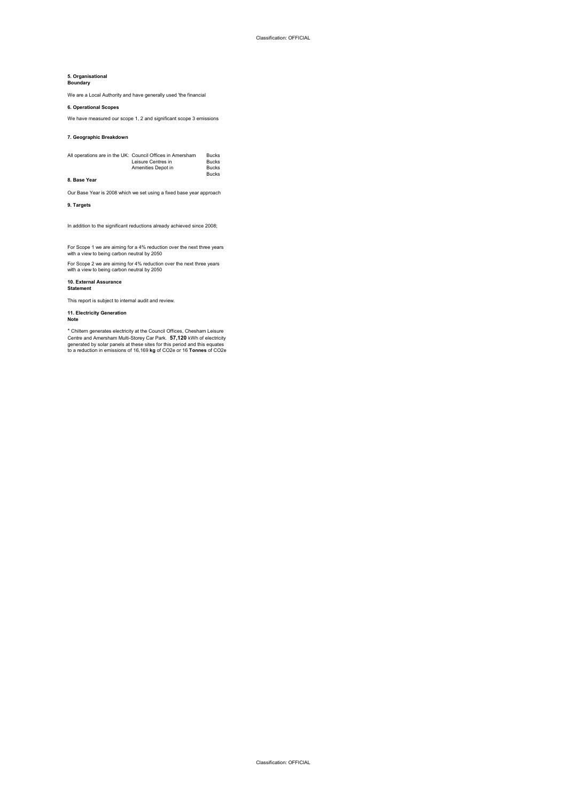#### Classification: OFFICIAL

Classification: OFFICIAL

## **5. Organisational**

**Boundary**

#### **6. Operational Scopes**

#### **7. Geographic Breakdown**

#### **8. Base Year**

**9. Targets**

**10. External Assurance Statement**

### **11. Electricity Generation Note**

\* Chiltern generates electricity at the Council Offices, Chesham Leisure Centre and Amersham Multi-Storey Car Park. **57,120** kWh of electricity generated by solar panels at these sites for this period and this equates to a reduction in emissions of 16,169 **kg** of CO2e or 16 **Tonnes** of CO2e

Our Base Year is 2008 which we set using a fixed base year approach

| All operations are in the UK: Council Offices in Amersham | Bucks        |
|-----------------------------------------------------------|--------------|
| Leisure Centres in                                        | <b>Bucks</b> |
| Amenities Depot in                                        | <b>Bucks</b> |
|                                                           | <b>Bucks</b> |

In addition to the significant reductions already achieved since 2008;

For Scope 1 we are aiming for a 4% reduction over the next three years with a view to being carbon neutral by 2050

For Scope 2 we are aiming for 4% reduction over the next three years with a view to being carbon neutral by 2050

This report is subject to internal audit and review.

We are a Local Authority and have generally used 'the financial

We have measured our scope 1, 2 and significant scope 3 emissions